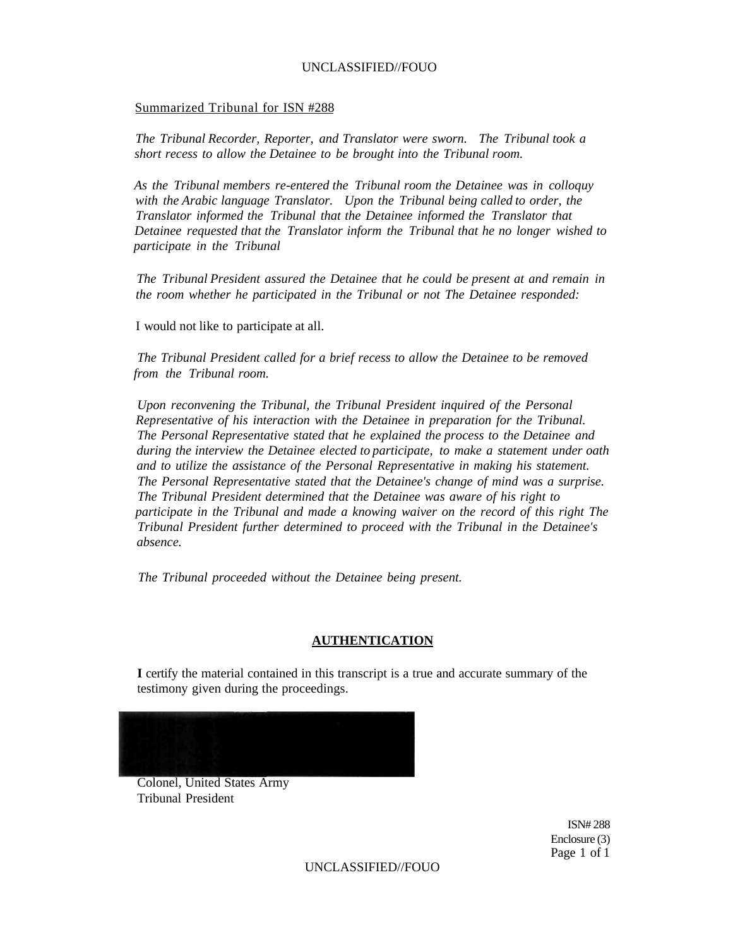#### Summarized Tribunal for ISN #288

*The Tribunal Recorder, Reporter, and Translator were sworn. The Tribunal took a short recess to allow the Detainee to be brought into the Tribunal room.* 

*As the Tribunal members re-entered the Tribunal room the Detainee was in colloquy with the Arabic language Translator. Upon the Tribunal being called to order, the Translator informed the Tribunal that the Detainee informed the Translator that Detainee requested that the Translator inform the Tribunal that he no longer wished to participate in the Tribunal* 

*The Tribunal President assured the Detainee that he could be present at and remain in the room whether he participated in the Tribunal or not The Detainee responded:* 

I would not like to participate at all.

*The Tribunal President called for a brief recess to allow the Detainee to be removed from the Tribunal room.* 

*Upon reconvening the Tribunal, the Tribunal President inquired of the Personal Representative of his interaction with the Detainee in preparation for the Tribunal. The Personal Representative stated that he explained the process to the Detainee and during the interview the Detainee elected to participate, to make a statement under oath and to utilize the assistance of the Personal Representative in making his statement. The Personal Representative stated that the Detainee's change of mind was a surprise. The Tribunal President determined that the Detainee was aware of his right to participate in the Tribunal and made a knowing waiver on the record of this right The Tribunal President further determined to proceed with the Tribunal in the Detainee's absence.* 

*The Tribunal proceeded without the Detainee being present.* 

#### **AUTHENTICATION**

**I** certify the material contained in this transcript is a true and accurate summary of the testimony given during the proceedings.



Colonel, United States Army Tribunal President

> ISN# 288 Enclosure (3) Page 1 of 1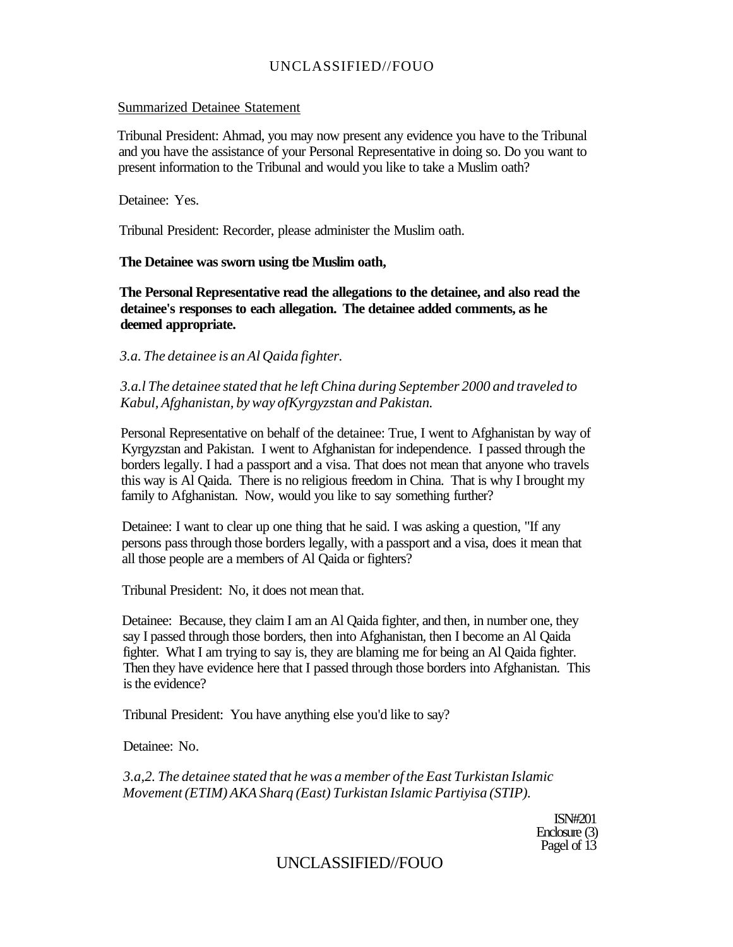#### Summarized Detainee Statement

Tribunal President: Ahmad, you may now present any evidence you have to the Tribunal and you have the assistance of your Personal Representative in doing so. Do you want to present information to the Tribunal and would you like to take a Muslim oath?

Detainee: Yes.

Tribunal President: Recorder, please administer the Muslim oath.

#### **The Detainee was sworn using tbe Muslim oath,**

**The Personal Representative read the allegations to the detainee, and also read the detainee's responses to each allegation. The detainee added comments, as he deemed appropriate.** 

*3.a. The detainee is an Al Qaida fighter.* 

*3.a.l The detainee stated that he left China during September 2000 and traveled to Kabul, Afghanistan, by way ofKyrgyzstan and Pakistan.* 

Personal Representative on behalf of the detainee: True, I went to Afghanistan by way of Kyrgyzstan and Pakistan. I went to Afghanistan for independence. I passed through the borders legally. I had a passport and a visa. That does not mean that anyone who travels this way is Al Qaida. There is no religious freedom in China. That is why I brought my family to Afghanistan. Now, would you like to say something further?

Detainee: I want to clear up one thing that he said. I was asking a question, "If any persons pass through those borders legally, with a passport and a visa, does it mean that all those people are a members of Al Qaida or fighters?

Tribunal President: No, it does not mean that.

Detainee: Because, they claim I am an Al Qaida fighter, and then, in number one, they say I passed through those borders, then into Afghanistan, then I become an Al Qaida fighter. What I am trying to say is, they are blaming me for being an Al Qaida fighter. Then they have evidence here that I passed through those borders into Afghanistan. This is the evidence?

Tribunal President: You have anything else you'd like to say?

Detainee: No.

*3.a,2. The detainee stated that he was a member of the East Turkistan Islamic Movement (ETIM) AKA Sharq (East) Turkistan Islamic Partiyisa (STIP).* 

> ISN#201 Enclosure (3) Pagel of 13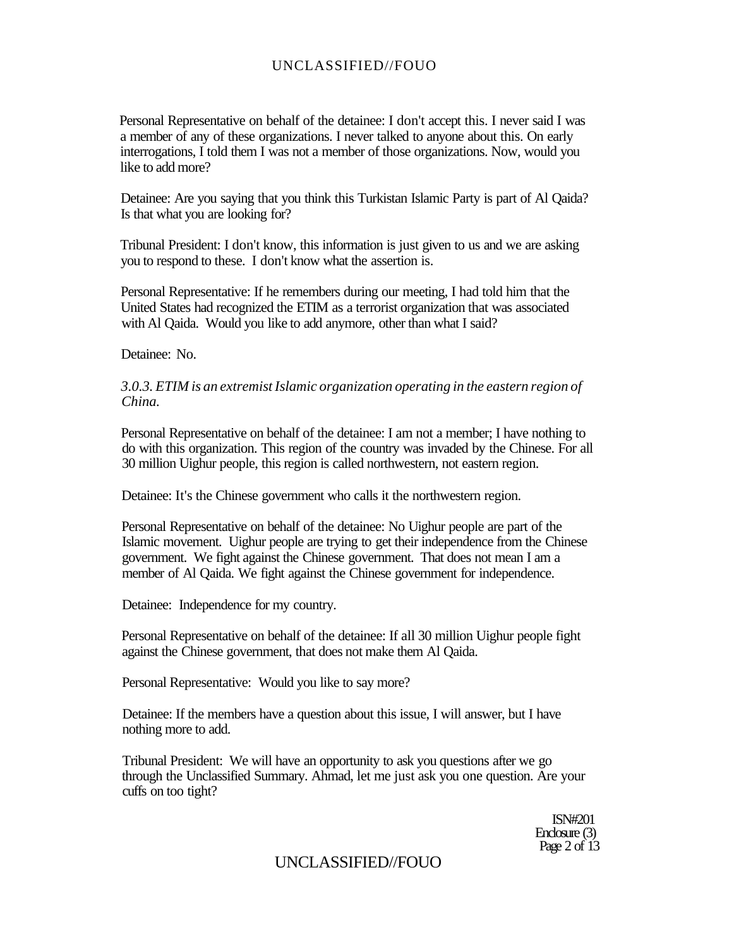Personal Representative on behalf of the detainee: I don't accept this. I never said I was a member of any of these organizations. I never talked to anyone about this. On early interrogations, I told them I was not a member of those organizations. Now, would you like to add more?

Detainee: Are you saying that you think this Turkistan Islamic Party is part of Al Qaida? Is that what you are looking for?

Tribunal President: I don't know, this information is just given to us and we are asking you to respond to these. I don't know what the assertion is.

Personal Representative: If he remembers during our meeting, I had told him that the United States had recognized the ETIM as a terrorist organization that was associated with Al Qaida. Would you like to add anymore, other than what I said?

Detainee: No.

#### *3.0.3. ETIM is an extremist Islamic organization operating in the eastern region of China.*

Personal Representative on behalf of the detainee: I am not a member; I have nothing to do with this organization. This region of the country was invaded by the Chinese. For all 30 million Uighur people, this region is called northwestern, not eastern region.

Detainee: It's the Chinese government who calls it the northwestern region.

Personal Representative on behalf of the detainee: No Uighur people are part of the Islamic movement. Uighur people are trying to get their independence from the Chinese government. We fight against the Chinese government. That does not mean I am a member of Al Qaida. We fight against the Chinese government for independence.

Detainee: Independence for my country.

Personal Representative on behalf of the detainee: If all 30 million Uighur people fight against the Chinese government, that does not make them Al Qaida.

Personal Representative: Would you like to say more?

Detainee: If the members have a question about this issue, I will answer, but I have nothing more to add.

Tribunal President: We will have an opportunity to ask you questions after we go through the Unclassified Summary. Ahmad, let me just ask you one question. Are your cuffs on too tight?

> ISN#201 Enclosure (3) Page 2 of 13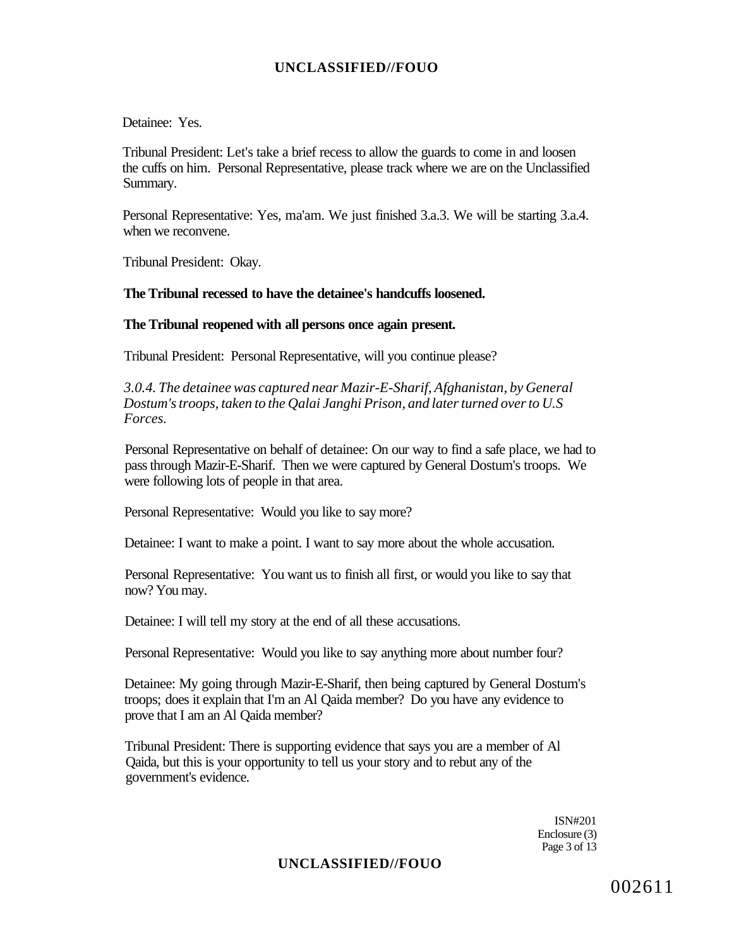Detainee: Yes.

Tribunal President: Let's take a brief recess to allow the guards to come in and loosen the cuffs on him. Personal Representative, please track where we are on the Unclassified Summary.

Personal Representative: Yes, ma'am. We just finished 3.a.3. We will be starting 3.a.4. when we reconvene.

Tribunal President: Okay.

#### **The Tribunal recessed to have the detainee's handcuffs loosened.**

**The Tribunal reopened with all persons once again present.** 

Tribunal President: Personal Representative, will you continue please?

*3.0.4. The detainee was captured near Mazir-E-Sharif, Afghanistan, by General Dostum's troops, taken to the Qalai Janghi Prison, and later turned over to U.S Forces.* 

Personal Representative on behalf of detainee: On our way to find a safe place, we had to pass through Mazir-E-Sharif. Then we were captured by General Dostum's troops. We were following lots of people in that area.

Personal Representative: Would you like to say more?

Detainee: I want to make a point. I want to say more about the whole accusation.

Personal Representative: You want us to finish all first, or would you like to say that now? You may.

Detainee: I will tell my story at the end of all these accusations.

Personal Representative: Would you like to say anything more about number four?

Detainee: My going through Mazir-E-Sharif, then being captured by General Dostum's troops; does it explain that I'm an Al Qaida member? Do you have any evidence to prove that I am an Al Qaida member?

Tribunal President: There is supporting evidence that says you are a member of Al Qaida, but this is your opportunity to tell us your story and to rebut any of the government's evidence.

> ISN#201 Enclosure (3) Page 3 of 13

### **UNCLASSIFIED//FOUO**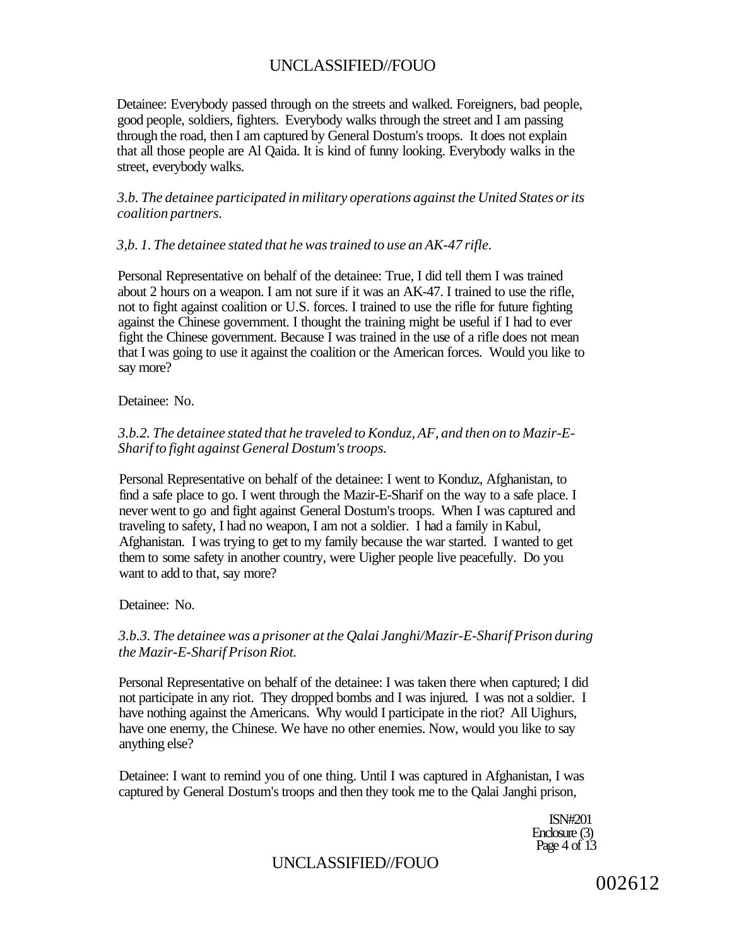Detainee: Everybody passed through on the streets and walked. Foreigners, bad people, good people, soldiers, fighters. Everybody walks through the street and I am passing through the road, then I am captured by General Dostum's troops. It does not explain that all those people are Al Qaida. It is kind of funny looking. Everybody walks in the street, everybody walks.

*3.b. The detainee participated in military operations against the United States or its coalition partners.* 

#### *3,b. 1. The detainee stated that he was trained to use an AK-47 rifle.*

Personal Representative on behalf of the detainee: True, I did tell them I was trained about 2 hours on a weapon. I am not sure if it was an AK-47. I trained to use the rifle, not to fight against coalition or U.S. forces. I trained to use the rifle for future fighting against the Chinese government. I thought the training might be useful if I had to ever fight the Chinese government. Because I was trained in the use of a rifle does not mean that I was going to use it against the coalition or the American forces. Would you like to say more?

Detainee: No.

### *3.b.2. The detainee stated that he traveled to Konduz, AF, and then on to Mazir-E-Sharif to fight against General Dostum's troops.*

Personal Representative on behalf of the detainee: I went to Konduz, Afghanistan, to find a safe place to go. I went through the Mazir-E-Sharif on the way to a safe place. I never went to go and fight against General Dostum's troops. When I was captured and traveling to safety, I had no weapon, I am not a soldier. I had a family in Kabul, Afghanistan. I was trying to get to my family because the war started. I wanted to get them to some safety in another country, were Uigher people live peacefully. Do you want to add to that, say more?

Detainee: No.

### *3.b.3. The detainee was a prisoner at the Qalai Janghi/Mazir-E-Sharif Prison during the Mazir-E-Sharif Prison Riot.*

Personal Representative on behalf of the detainee: I was taken there when captured; I did not participate in any riot. They dropped bombs and I was injured. I was not a soldier. I have nothing against the Americans. Why would I participate in the riot? All Uighurs, have one enemy, the Chinese. We have no other enemies. Now, would you like to say anything else?

Detainee: I want to remind you of one thing. Until I was captured in Afghanistan, I was captured by General Dostum's troops and then they took me to the Qalai Janghi prison,

> ISN#201 Enclosure (3) Page 4 of 13

## UNCLASSIFIED//FOUO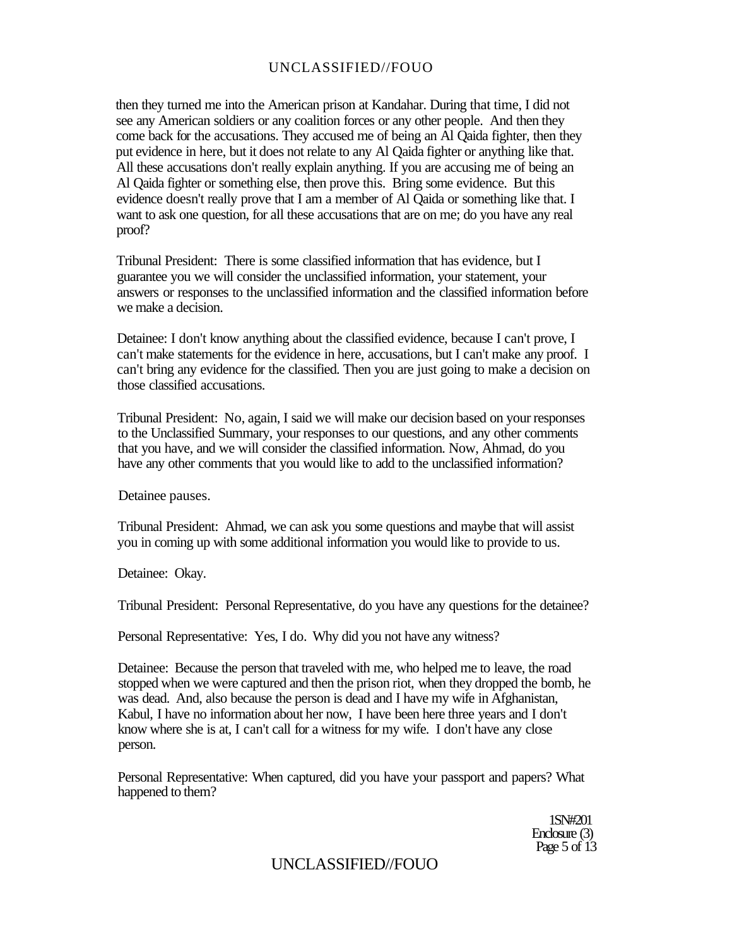then they turned me into the American prison at Kandahar. During that time, I did not see any American soldiers or any coalition forces or any other people. And then they come back for the accusations. They accused me of being an Al Qaida fighter, then they put evidence in here, but it does not relate to any Al Qaida fighter or anything like that. All these accusations don't really explain anything. If you are accusing me of being an Al Qaida fighter or something else, then prove this. Bring some evidence. But this evidence doesn't really prove that I am a member of Al Qaida or something like that. I want to ask one question, for all these accusations that are on me; do you have any real proof?

Tribunal President: There is some classified information that has evidence, but I guarantee you we will consider the unclassified information, your statement, your answers or responses to the unclassified information and the classified information before we make a decision.

Detainee: I don't know anything about the classified evidence, because I can't prove, I can't make statements for the evidence in here, accusations, but I can't make any proof. I can't bring any evidence for the classified. Then you are just going to make a decision on those classified accusations.

Tribunal President: No, again, I said we will make our decision based on your responses to the Unclassified Summary, your responses to our questions, and any other comments that you have, and we will consider the classified information. Now, Ahmad, do you have any other comments that you would like to add to the unclassified information?

Detainee pauses.

Tribunal President: Ahmad, we can ask you some questions and maybe that will assist you in coming up with some additional information you would like to provide to us.

Detainee: Okay.

Tribunal President: Personal Representative, do you have any questions for the detainee?

Personal Representative: Yes, I do. Why did you not have any witness?

Detainee: Because the person that traveled with me, who helped me to leave, the road stopped when we were captured and then the prison riot, when they dropped the bomb, he was dead. And, also because the person is dead and I have my wife in Afghanistan, Kabul, I have no information about her now, I have been here three years and I don't know where she is at, I can't call for a witness for my wife. I don't have any close person.

Personal Representative: When captured, did you have your passport and papers? What happened to them?

> 1SN#201 Enclosure (3) Page 5 of 13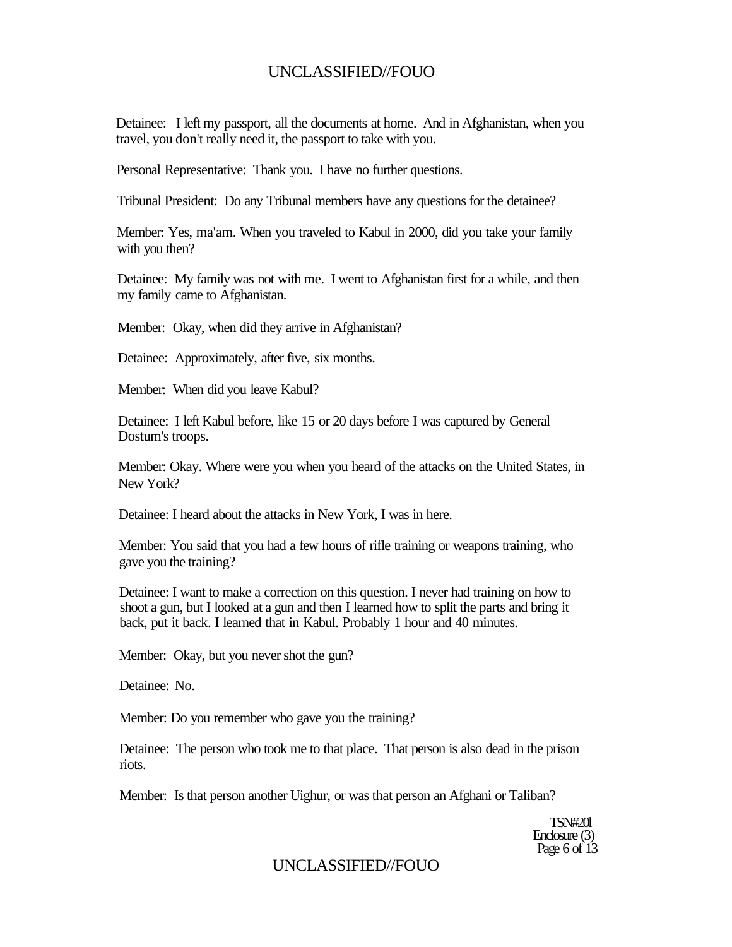Detainee: I left my passport, all the documents at home. And in Afghanistan, when you travel, you don't really need it, the passport to take with you.

Personal Representative: Thank you. I have no further questions.

Tribunal President: Do any Tribunal members have any questions for the detainee?

Member: Yes, ma'am. When you traveled to Kabul in 2000, did you take your family with you then?

Detainee: My family was not with me. I went to Afghanistan first for a while, and then my family came to Afghanistan.

Member: Okay, when did they arrive in Afghanistan?

Detainee: Approximately, after five, six months.

Member: When did you leave Kabul?

Detainee: I left Kabul before, like 15 or 20 days before I was captured by General Dostum's troops.

Member: Okay. Where were you when you heard of the attacks on the United States, in New York?

Detainee: I heard about the attacks in New York, I was in here.

Member: You said that you had a few hours of rifle training or weapons training, who gave you the training?

Detainee: I want to make a correction on this question. I never had training on how to shoot a gun, but I looked at a gun and then I learned how to split the parts and bring it back, put it back. I learned that in Kabul. Probably 1 hour and 40 minutes.

Member: Okay, but you never shot the gun?

Detainee: No.

Member: Do you remember who gave you the training?

Detainee: The person who took me to that place. That person is also dead in the prison riots.

Member: Is that person another Uighur, or was that person an Afghani or Taliban?

TSN#20l Enclosure (3) Page 6 of  $13$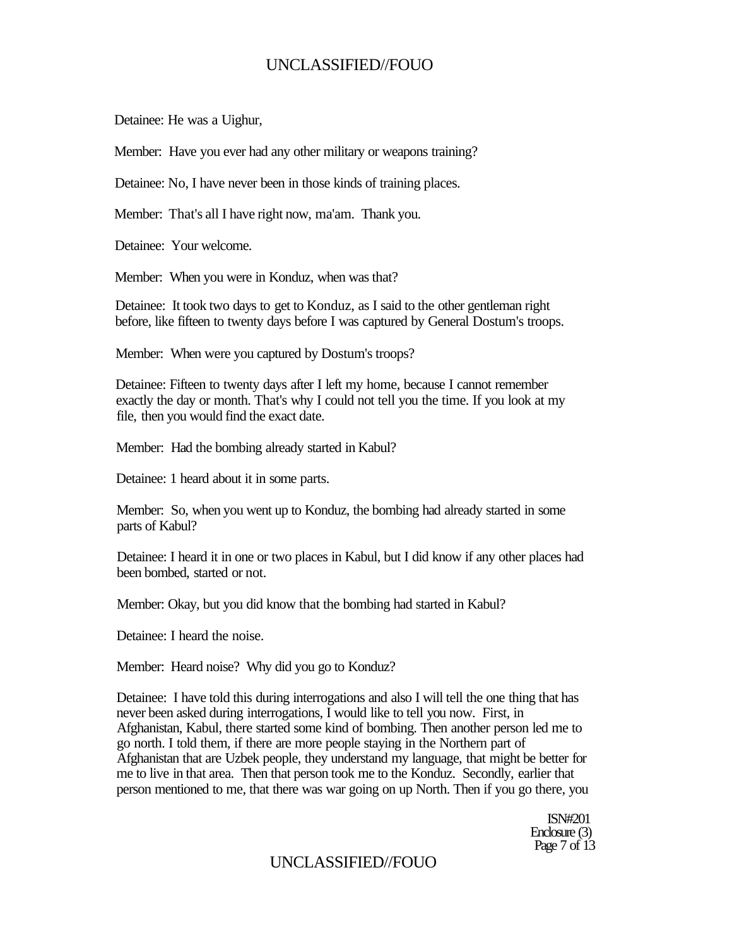Detainee: He was a Uighur,

Member: Have you ever had any other military or weapons training?

Detainee: No, I have never been in those kinds of training places.

Member: That's all I have right now, ma'am. Thank you.

Detainee: Your welcome.

Member: When you were in Konduz, when was that?

Detainee: It took two days to get to Konduz, as I said to the other gentleman right before, like fifteen to twenty days before I was captured by General Dostum's troops.

Member: When were you captured by Dostum's troops?

Detainee: Fifteen to twenty days after I left my home, because I cannot remember exactly the day or month. That's why I could not tell you the time. If you look at my file, then you would find the exact date.

Member: Had the bombing already started in Kabul?

Detainee: 1 heard about it in some parts.

Member: So, when you went up to Konduz, the bombing had already started in some parts of Kabul?

Detainee: I heard it in one or two places in Kabul, but I did know if any other places had been bombed, started or not.

Member: Okay, but you did know that the bombing had started in Kabul?

Detainee: I heard the noise.

Member: Heard noise? Why did you go to Konduz?

Detainee: I have told this during interrogations and also I will tell the one thing that has never been asked during interrogations, I would like to tell you now. First, in Afghanistan, Kabul, there started some kind of bombing. Then another person led me to go north. I told them, if there are more people staying in the Northern part of Afghanistan that are Uzbek people, they understand my language, that might be better for me to live in that area. Then that person took me to the Konduz. Secondly, earlier that person mentioned to me, that there was war going on up North. Then if you go there, you

> ISN#201 Enclosure (3) Page 7 of 13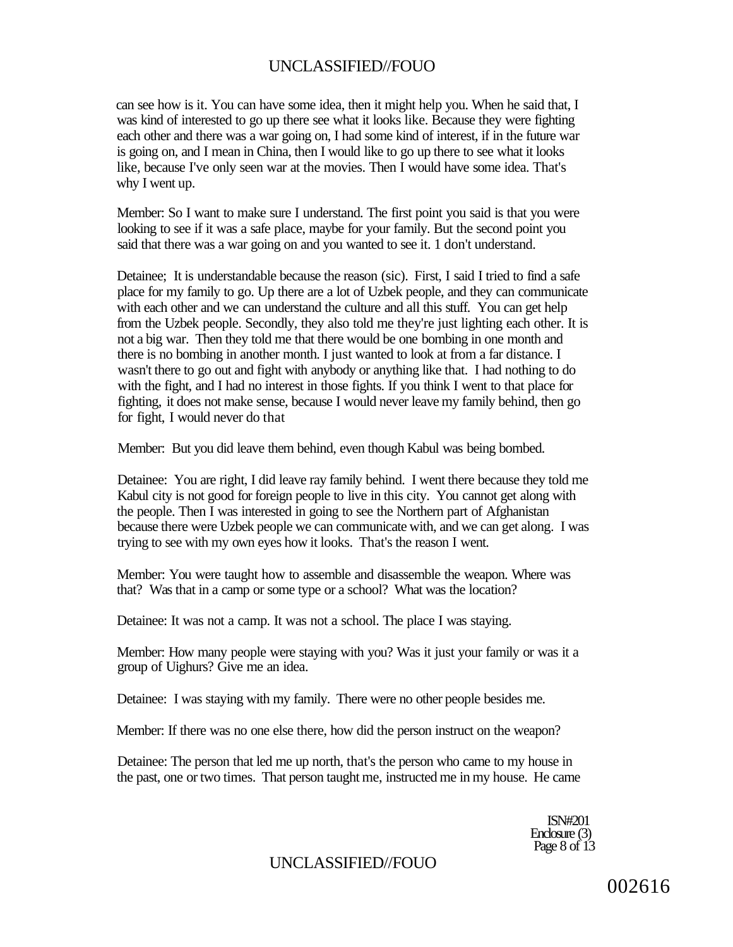can see how is it. You can have some idea, then it might help you. When he said that, I was kind of interested to go up there see what it looks like. Because they were fighting each other and there was a war going on, I had some kind of interest, if in the future war is going on, and I mean in China, then I would like to go up there to see what it looks like, because I've only seen war at the movies. Then I would have some idea. That's why I went up.

Member: So I want to make sure I understand. The first point you said is that you were looking to see if it was a safe place, maybe for your family. But the second point you said that there was a war going on and you wanted to see it. 1 don't understand.

Detainee; It is understandable because the reason (sic). First, I said I tried to find a safe place for my family to go. Up there are a lot of Uzbek people, and they can communicate with each other and we can understand the culture and all this stuff. You can get help from the Uzbek people. Secondly, they also told me they're just lighting each other. It is not a big war. Then they told me that there would be one bombing in one month and there is no bombing in another month. I just wanted to look at from a far distance. I wasn't there to go out and fight with anybody or anything like that. I had nothing to do with the fight, and I had no interest in those fights. If you think I went to that place for fighting, it does not make sense, because I would never leave my family behind, then go for fight, I would never do that

Member: But you did leave them behind, even though Kabul was being bombed.

Detainee: You are right, I did leave ray family behind. I went there because they told me Kabul city is not good for foreign people to live in this city. You cannot get along with the people. Then I was interested in going to see the Northern part of Afghanistan because there were Uzbek people we can communicate with, and we can get along. I was trying to see with my own eyes how it looks. That's the reason I went.

Member: You were taught how to assemble and disassemble the weapon. Where was that? Was that in a camp or some type or a school? What was the location?

Detainee: It was not a camp. It was not a school. The place I was staying.

Member: How many people were staying with you? Was it just your family or was it a group of Uighurs? Give me an idea.

Detainee: I was staying with my family. There were no other people besides me.

Member: If there was no one else there, how did the person instruct on the weapon?

Detainee: The person that led me up north, that's the person who came to my house in the past, one or two times. That person taught me, instructed me in my house. He came

> ISN#201 Enclosure (3) Page 8 of 13

UNCLASSIFIED//FOUO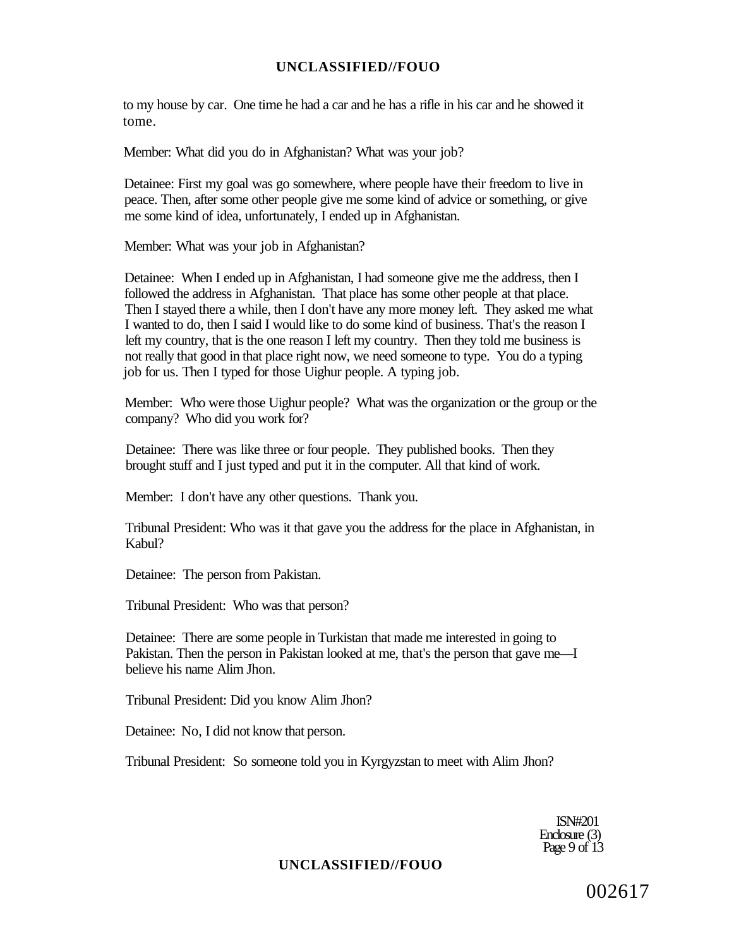to my house by car. One time he had a car and he has a rifle in his car and he showed it tome.

Member: What did you do in Afghanistan? What was your job?

Detainee: First my goal was go somewhere, where people have their freedom to live in peace. Then, after some other people give me some kind of advice or something, or give me some kind of idea, unfortunately, I ended up in Afghanistan.

Member: What was your job in Afghanistan?

Detainee: When I ended up in Afghanistan, I had someone give me the address, then I followed the address in Afghanistan. That place has some other people at that place. Then I stayed there a while, then I don't have any more money left. They asked me what I wanted to do, then I said I would like to do some kind of business. That's the reason I left my country, that is the one reason I left my country. Then they told me business is not really that good in that place right now, we need someone to type. You do a typing job for us. Then I typed for those Uighur people. A typing job.

Member: Who were those Uighur people? What was the organization or the group or the company? Who did you work for?

Detainee: There was like three or four people. They published books. Then they brought stuff and I just typed and put it in the computer. All that kind of work.

Member: I don't have any other questions. Thank you.

Tribunal President: Who was it that gave you the address for the place in Afghanistan, in Kabul?

Detainee: The person from Pakistan.

Tribunal President: Who was that person?

Detainee: There are some people in Turkistan that made me interested in going to Pakistan. Then the person in Pakistan looked at me, that's the person that gave me—I believe his name Alim Jhon.

Tribunal President: Did you know Alim Jhon?

Detainee: No, I did not know that person.

Tribunal President: So someone told you in Kyrgyzstan to meet with Alim Jhon?

ISN#201 Enclosure (3) Page 9 of 13

#### **UNCLASSIFIED//FOUO**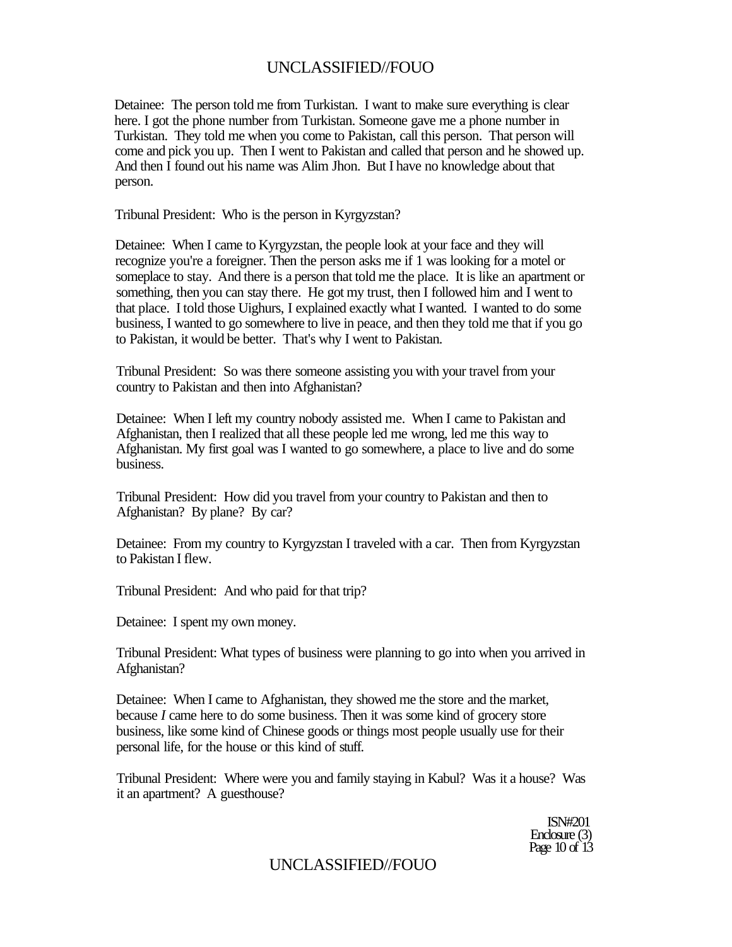Detainee: The person told me from Turkistan. I want to make sure everything is clear here. I got the phone number from Turkistan. Someone gave me a phone number in Turkistan. They told me when you come to Pakistan, call this person. That person will come and pick you up. Then I went to Pakistan and called that person and he showed up. And then I found out his name was Alim Jhon. But I have no knowledge about that person.

Tribunal President: Who is the person in Kyrgyzstan?

Detainee: When I came to Kyrgyzstan, the people look at your face and they will recognize you're a foreigner. Then the person asks me if 1 was looking for a motel or someplace to stay. And there is a person that told me the place. It is like an apartment or something, then you can stay there. He got my trust, then I followed him and I went to that place. I told those Uighurs, I explained exactly what I wanted. I wanted to do some business, I wanted to go somewhere to live in peace, and then they told me that if you go to Pakistan, it would be better. That's why I went to Pakistan.

Tribunal President: So was there someone assisting you with your travel from your country to Pakistan and then into Afghanistan?

Detainee: When I left my country nobody assisted me. When I came to Pakistan and Afghanistan, then I realized that all these people led me wrong, led me this way to Afghanistan. My first goal was I wanted to go somewhere, a place to live and do some business.

Tribunal President: How did you travel from your country to Pakistan and then to Afghanistan? By plane? By car?

Detainee: From my country to Kyrgyzstan I traveled with a car. Then from Kyrgyzstan to Pakistan I flew.

Tribunal President: And who paid for that trip?

Detainee: I spent my own money.

Tribunal President: What types of business were planning to go into when you arrived in Afghanistan?

Detainee: When I came to Afghanistan, they showed me the store and the market, because *I* came here to do some business. Then it was some kind of grocery store business, like some kind of Chinese goods or things most people usually use for their personal life, for the house or this kind of stuff.

Tribunal President: Where were you and family staying in Kabul? Was it a house? Was it an apartment? A guesthouse?

> ISN#201 Enclosure (3) Page 10 of 13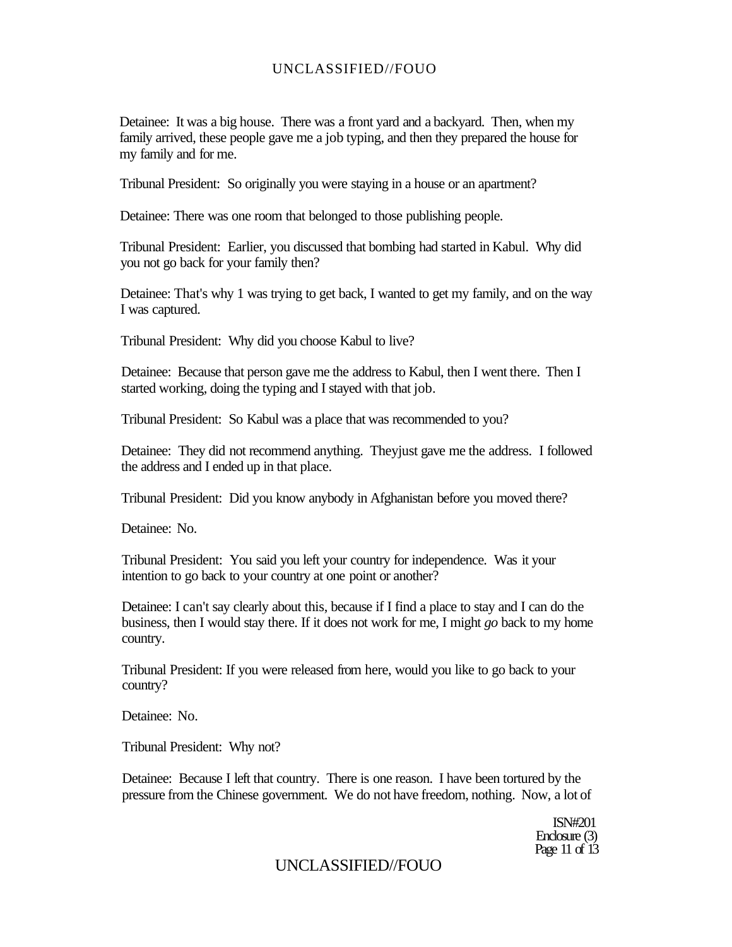Detainee: It was a big house. There was a front yard and a backyard. Then, when my family arrived, these people gave me a job typing, and then they prepared the house for my family and for me.

Tribunal President: So originally you were staying in a house or an apartment?

Detainee: There was one room that belonged to those publishing people.

Tribunal President: Earlier, you discussed that bombing had started in Kabul. Why did you not go back for your family then?

Detainee: That's why 1 was trying to get back, I wanted to get my family, and on the way I was captured.

Tribunal President: Why did you choose Kabul to live?

Detainee: Because that person gave me the address to Kabul, then I went there. Then I started working, doing the typing and I stayed with that job.

Tribunal President: So Kabul was a place that was recommended to you?

Detainee: They did not recommend anything. Theyjust gave me the address. I followed the address and I ended up in that place.

Tribunal President: Did you know anybody in Afghanistan before you moved there?

Detainee: No.

Tribunal President: You said you left your country for independence. Was it your intention to go back to your country at one point or another?

Detainee: I can't say clearly about this, because if I find a place to stay and I can do the business, then I would stay there. If it does not work for me, I might *go* back to my home country.

Tribunal President: If you were released from here, would you like to go back to your country?

Detainee: No.

Tribunal President: Why not?

Detainee: Because I left that country. There is one reason. I have been tortured by the pressure from the Chinese government. We do not have freedom, nothing. Now, a lot of

> ISN#201 Enclosure (3) Page 11 of 13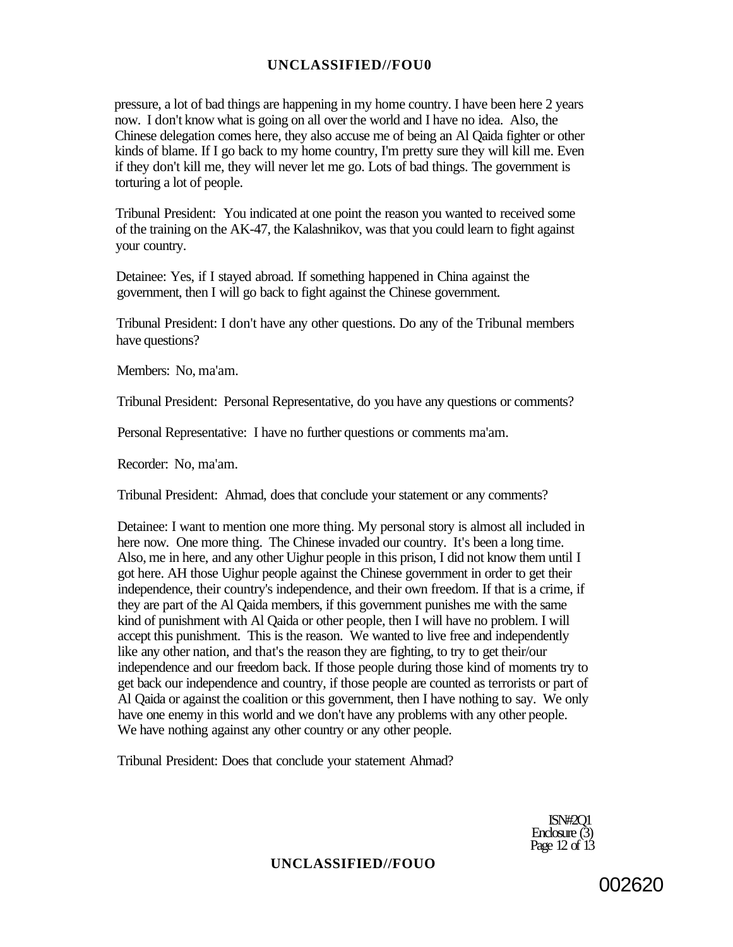pressure, a lot of bad things are happening in my home country. I have been here 2 years now. I don't know what is going on all over the world and I have no idea. Also, the Chinese delegation comes here, they also accuse me of being an Al Qaida fighter or other kinds of blame. If I go back to my home country, I'm pretty sure they will kill me. Even if they don't kill me, they will never let me go. Lots of bad things. The government is torturing a lot of people.

Tribunal President: You indicated at one point the reason you wanted to received some of the training on the AK-47, the Kalashnikov, was that you could learn to fight against your country.

Detainee: Yes, if I stayed abroad. If something happened in China against the government, then I will go back to fight against the Chinese government.

Tribunal President: I don't have any other questions. Do any of the Tribunal members have questions?

Members: No, ma'am.

Tribunal President: Personal Representative, do you have any questions or comments?

Personal Representative: I have no further questions or comments ma'am.

Recorder: No, ma'am.

Tribunal President: Ahmad, does that conclude your statement or any comments?

Detainee: I want to mention one more thing. My personal story is almost all included in here now. One more thing. The Chinese invaded our country. It's been a long time. Also, me in here, and any other Uighur people in this prison, I did not know them until I got here. AH those Uighur people against the Chinese government in order to get their independence, their country's independence, and their own freedom. If that is a crime, if they are part of the Al Qaida members, if this government punishes me with the same kind of punishment with Al Qaida or other people, then I will have no problem. I will accept this punishment. This is the reason. We wanted to live free and independently like any other nation, and that's the reason they are fighting, to try to get their/our independence and our freedom back. If those people during those kind of moments try to get back our independence and country, if those people are counted as terrorists or part of Al Qaida or against the coalition or this government, then I have nothing to say. We only have one enemy in this world and we don't have any problems with any other people. We have nothing against any other country or any other people.

Tribunal President: Does that conclude your statement Ahmad?

ISN#2Q1 Enclosure (3) Page 12 of 13

#### **UNCLASSIFIED//FOUO**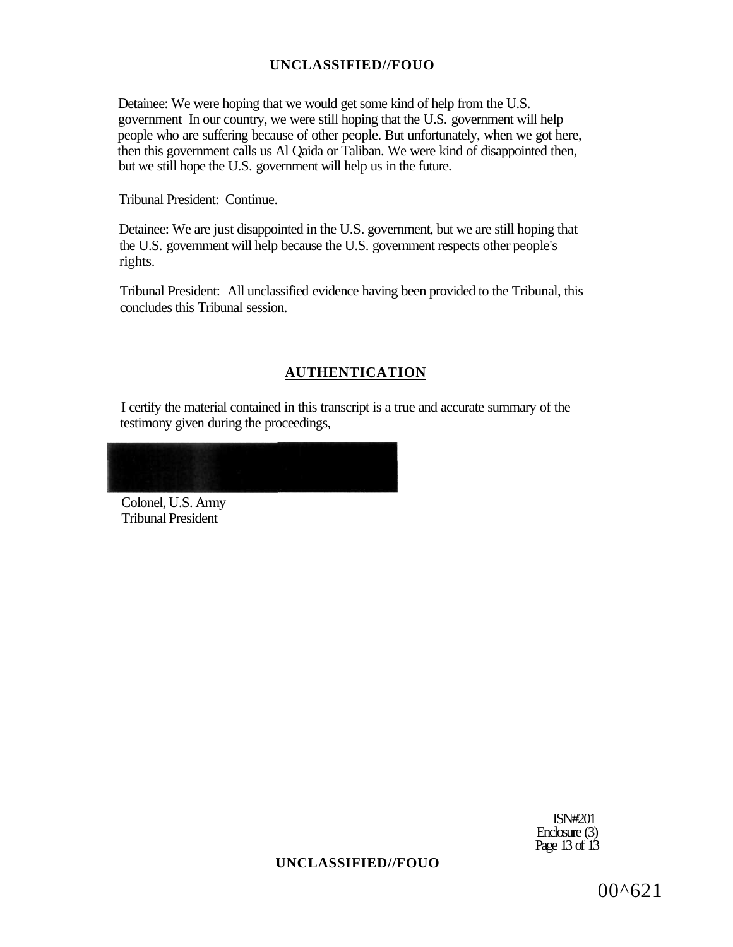Detainee: We were hoping that we would get some kind of help from the U.S. government In our country, we were still hoping that the U.S. government will help people who are suffering because of other people. But unfortunately, when we got here, then this government calls us Al Qaida or Taliban. We were kind of disappointed then, but we still hope the U.S. government will help us in the future.

Tribunal President: Continue.

Detainee: We are just disappointed in the U.S. government, but we are still hoping that the U.S. government will help because the U.S. government respects other people's rights.

Tribunal President: All unclassified evidence having been provided to the Tribunal, this concludes this Tribunal session.

### **AUTHENTICATION**

I certify the material contained in this transcript is a true and accurate summary of the testimony given during the proceedings,

Colonel, U.S. Army Tribunal President

> ISN#201 Enclosure (3) Page 13 of 13

### **UNCLASSIFIED//FOUO**

00^621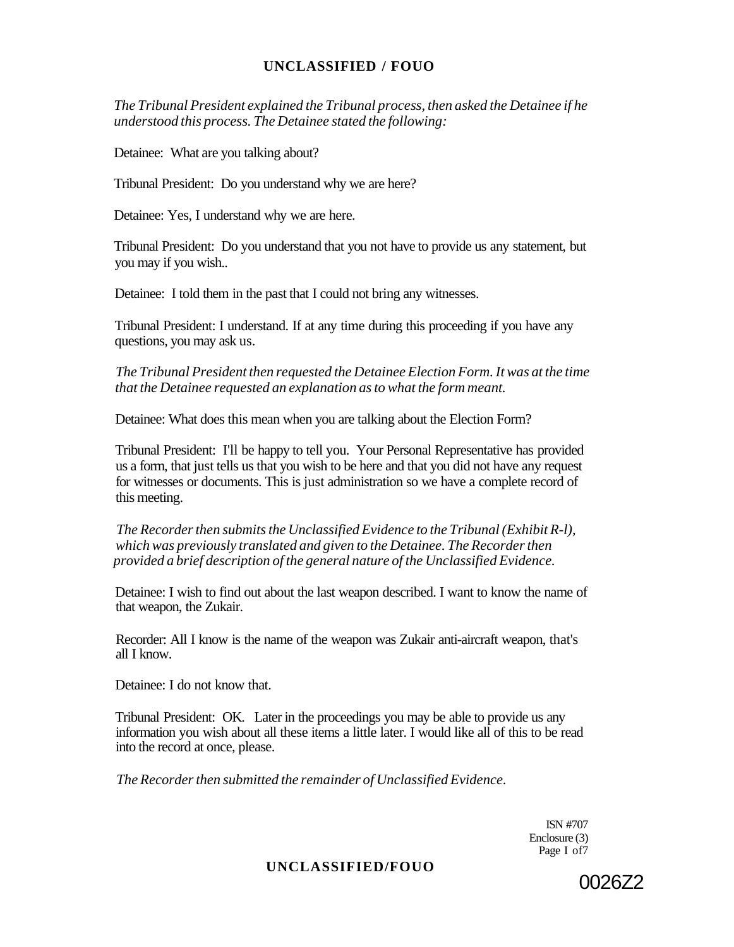*The Tribunal President explained the Tribunal process, then asked the Detainee if he understood this process. The Detainee stated the following:* 

Detainee: What are you talking about?

Tribunal President: Do you understand why we are here?

Detainee: Yes, I understand why we are here.

Tribunal President: Do you understand that you not have to provide us any statement, but you may if you wish..

Detainee: I told them in the past that I could not bring any witnesses.

Tribunal President: I understand. If at any time during this proceeding if you have any questions, you may ask us.

*The Tribunal President then requested the Detainee Election Form. It was at the time that the Detainee requested an explanation as to what the form meant.* 

Detainee: What does this mean when you are talking about the Election Form?

Tribunal President: I'll be happy to tell you. Your Personal Representative has provided us a form, that just tells us that you wish to be here and that you did not have any request for witnesses or documents. This is just administration so we have a complete record of this meeting.

*The Recorder then submits the Unclassified Evidence to the Tribunal (Exhibit R-l), which was previously translated and given to the Detainee. The Recorder then provided a brief description of the general nature of the Unclassified Evidence.* 

Detainee: I wish to find out about the last weapon described. I want to know the name of that weapon, the Zukair.

Recorder: All I know is the name of the weapon was Zukair anti-aircraft weapon, that's all I know.

Detainee: I do not know that.

Tribunal President: OK. Later in the proceedings you may be able to provide us any information you wish about all these items a little later. I would like all of this to be read into the record at once, please.

*The Recorder then submitted the remainder of Unclassified Evidence.* 

ISN #707 Enclosure (3) Page I of7

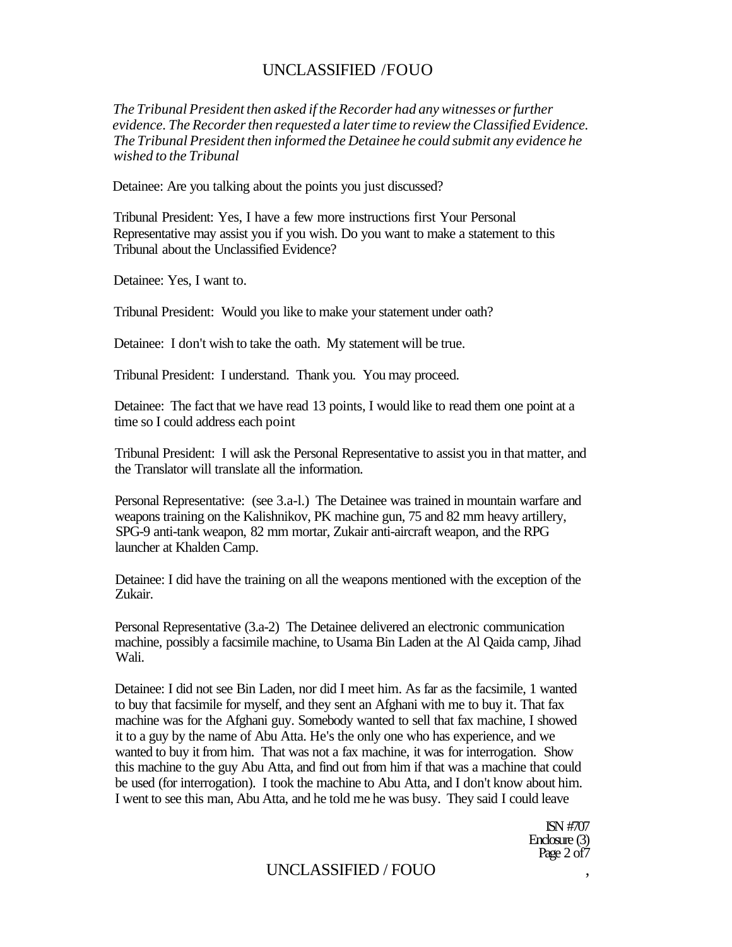*The Tribunal President then asked if the Recorder had any witnesses or further evidence. The Recorder then requested a later time to review the Classified Evidence. The Tribunal President then informed the Detainee he could submit any evidence he wished to the Tribunal* 

Detainee: Are you talking about the points you just discussed?

Tribunal President: Yes, I have a few more instructions first Your Personal Representative may assist you if you wish. Do you want to make a statement to this Tribunal about the Unclassified Evidence?

Detainee: Yes, I want to.

Tribunal President: Would you like to make your statement under oath?

Detainee: I don't wish to take the oath. My statement will be true.

Tribunal President: I understand. Thank you. You may proceed.

Detainee: The fact that we have read 13 points, I would like to read them one point at a time so I could address each point

Tribunal President: I will ask the Personal Representative to assist you in that matter, and the Translator will translate all the information.

Personal Representative: (see 3.a-l.) The Detainee was trained in mountain warfare and weapons training on the Kalishnikov, PK machine gun, 75 and 82 mm heavy artillery, SPG-9 anti-tank weapon, 82 mm mortar, Zukair anti-aircraft weapon, and the RPG launcher at Khalden Camp.

Detainee: I did have the training on all the weapons mentioned with the exception of the Zukair.

Personal Representative (3.a-2) The Detainee delivered an electronic communication machine, possibly a facsimile machine, to Usama Bin Laden at the Al Qaida camp, Jihad Wali.

Detainee: I did not see Bin Laden, nor did I meet him. As far as the facsimile, 1 wanted to buy that facsimile for myself, and they sent an Afghani with me to buy it. That fax machine was for the Afghani guy. Somebody wanted to sell that fax machine, I showed it to a guy by the name of Abu Atta. He's the only one who has experience, and we wanted to buy it from him. That was not a fax machine, it was for interrogation. Show this machine to the guy Abu Atta, and find out from him if that was a machine that could be used (for interrogation). I took the machine to Abu Atta, and I don't know about him. I went to see this man, Abu Atta, and he told me he was busy. They said I could leave

> ISN #707 Enclosure (3) Page 2 of 7

## UNCLASSIFIED / FOUO ,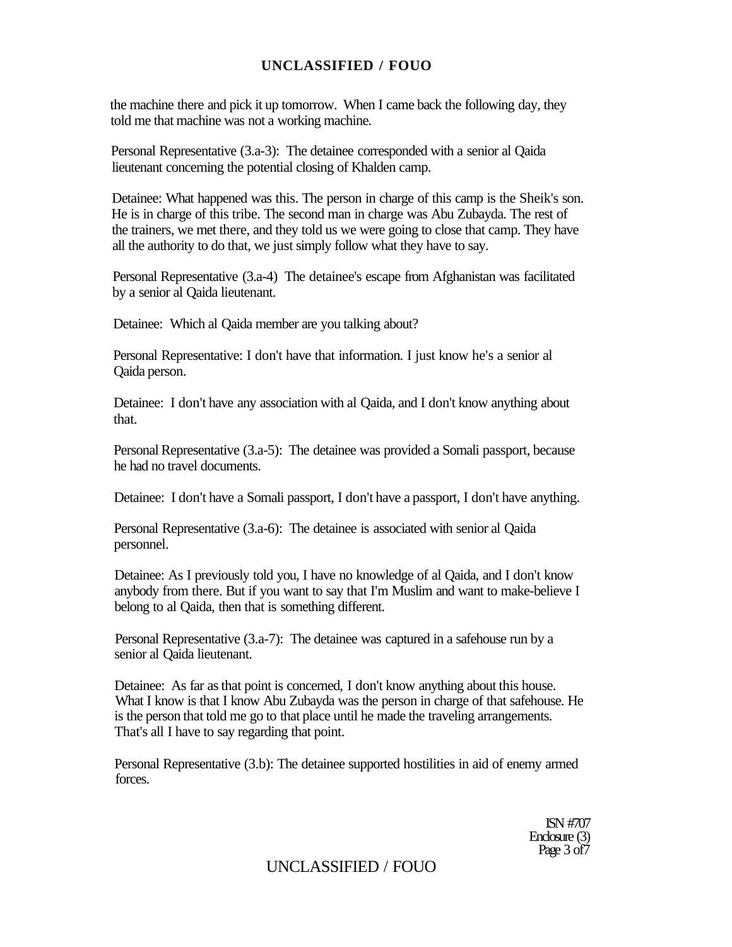the machine there and pick it up tomorrow. When I came back the following day, they told me that machine was not a working machine.

Personal Representative (3.a-3): The detainee corresponded with a senior al Qaida lieutenant concerning the potential closing of Khalden camp.

Detainee: What happened was this. The person in charge of this camp is the Sheik's son. He is in charge of this tribe. The second man in charge was Abu Zubayda. The rest of the trainers, we met there, and they told us we were going to close that camp. They have all the authority to do that, we just simply follow what they have to say.

Personal Representative (3.a-4) The detainee's escape from Afghanistan was facilitated by a senior al Qaida lieutenant.

Detainee: Which al Qaida member are you talking about?

Personal Representative: I don't have that information. I just know he's a senior al Qaida person.

Detainee: I don't have any association with al Qaida, and I don't know anything about that.

Personal Representative (3.a-5): The detainee was provided a Somali passport, because he had no travel documents.

Detainee: I don't have a Somali passport, I don't have a passport, I don't have anything.

Personal Representative (3.a-6): The detainee is associated with senior al Qaida personnel.

Detainee: As I previously told you, I have no knowledge of al Qaida, and I don't know anybody from there. But if you want to say that I'm Muslim and want to make-believe I belong to al Qaida, then that is something different.

Personal Representative (3.a-7): The detainee was captured in a safehouse run by a senior al Qaida lieutenant.

Detainee: As far as that point is concerned, I don't know anything about this house. What I know is that I know Abu Zubayda was the person in charge of that safehouse. He is the person that told me go to that place until he made the traveling arrangements. That's all I have to say regarding that point.

Personal Representative (3.b): The detainee supported hostilities in aid of enemy armed forces.

> ISN #707 Enclosure (3) Page 3 of 7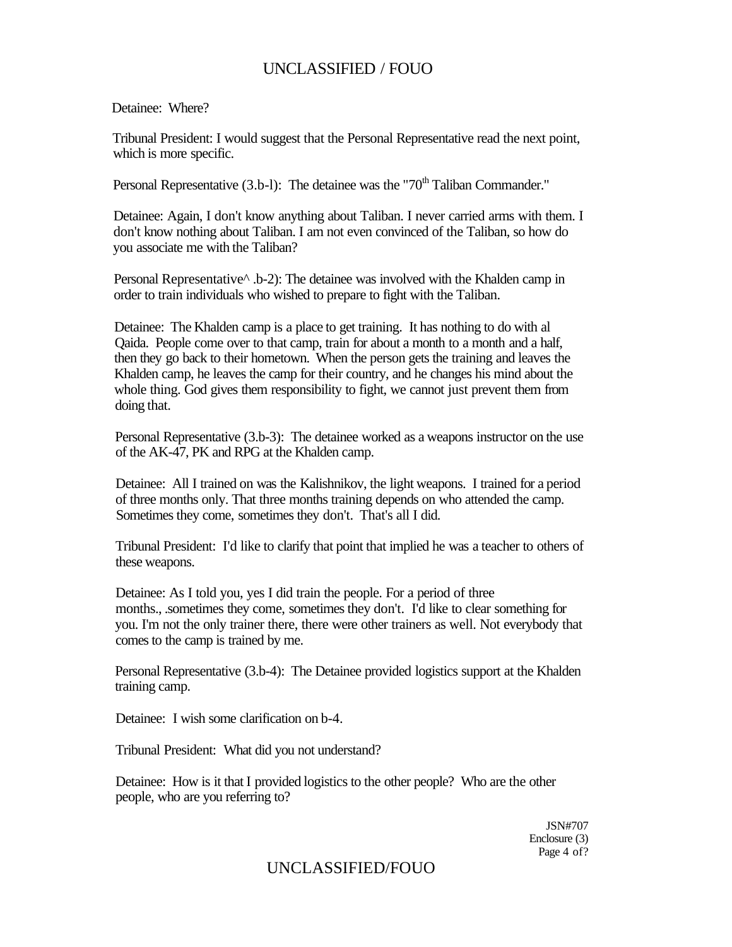Detainee: Where?

Tribunal President: I would suggest that the Personal Representative read the next point, which is more specific.

Personal Representative  $(3.b-1)$ : The detainee was the "70<sup>th</sup> Taliban Commander."

Detainee: Again, I don't know anything about Taliban. I never carried arms with them. I don't know nothing about Taliban. I am not even convinced of the Taliban, so how do you associate me with the Taliban?

Personal Representative<sup> $\land$ </sup> .b-2): The detainee was involved with the Khalden camp in order to train individuals who wished to prepare to fight with the Taliban.

Detainee: The Khalden camp is a place to get training. It has nothing to do with al Qaida. People come over to that camp, train for about a month to a month and a half, then they go back to their hometown. When the person gets the training and leaves the Khalden camp, he leaves the camp for their country, and he changes his mind about the whole thing. God gives them responsibility to fight, we cannot just prevent them from doing that.

Personal Representative (3.b-3): The detainee worked as a weapons instructor on the use of the AK-47, PK and RPG at the Khalden camp.

Detainee: All I trained on was the Kalishnikov, the light weapons. I trained for a period of three months only. That three months training depends on who attended the camp. Sometimes they come, sometimes they don't. That's all I did.

Tribunal President: I'd like to clarify that point that implied he was a teacher to others of these weapons.

Detainee: As I told you, yes I did train the people. For a period of three months., .sometimes they come, sometimes they don't. I'd like to clear something for you. I'm not the only trainer there, there were other trainers as well. Not everybody that comes to the camp is trained by me.

Personal Representative (3.b-4): The Detainee provided logistics support at the Khalden training camp.

Detainee: I wish some clarification on b-4.

Tribunal President: What did you not understand?

Detainee: How is it that I provided logistics to the other people? Who are the other people, who are you referring to?

> JSN#707 Enclosure (3) Page 4 of?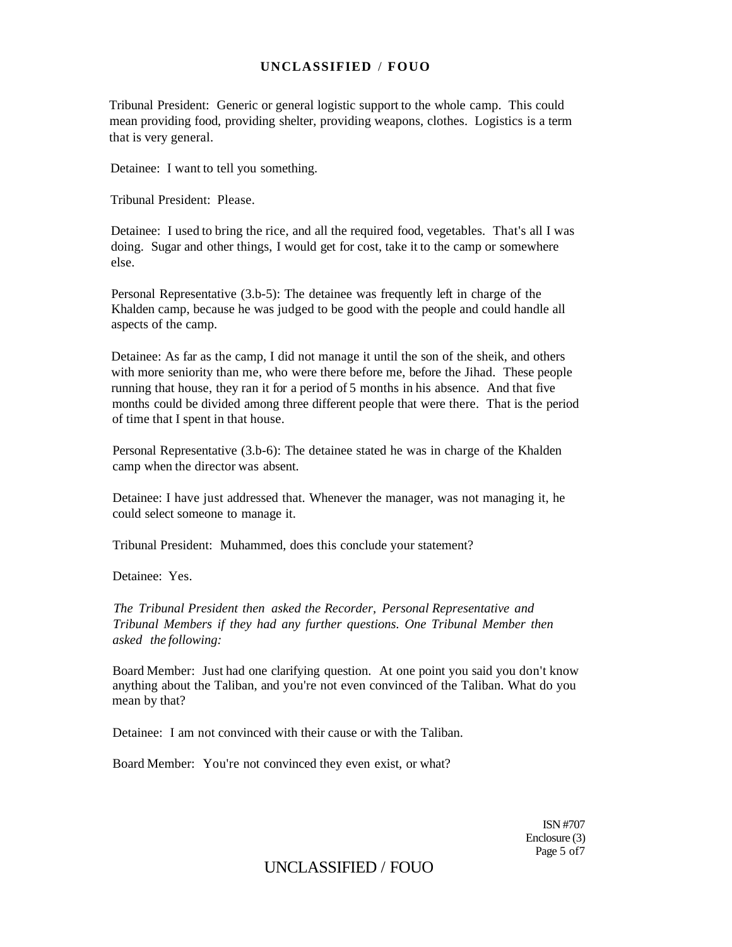Tribunal President: Generic or general logistic support to the whole camp. This could mean providing food, providing shelter, providing weapons, clothes. Logistics is a term that is very general.

Detainee: I want to tell you something.

Tribunal President: Please.

Detainee: I used to bring the rice, and all the required food, vegetables. That's all I was doing. Sugar and other things, I would get for cost, take it to the camp or somewhere else.

Personal Representative (3.b-5): The detainee was frequently left in charge of the Khalden camp, because he was judged to be good with the people and could handle all aspects of the camp.

Detainee: As far as the camp, I did not manage it until the son of the sheik, and others with more seniority than me, who were there before me, before the Jihad. These people running that house, they ran it for a period of 5 months in his absence. And that five months could be divided among three different people that were there. That is the period of time that I spent in that house.

Personal Representative (3.b-6): The detainee stated he was in charge of the Khalden camp when the director was absent.

Detainee: I have just addressed that. Whenever the manager, was not managing it, he could select someone to manage it.

Tribunal President: Muhammed, does this conclude your statement?

Detainee: Yes.

*The Tribunal President then asked the Recorder, Personal Representative and Tribunal Members if they had any further questions. One Tribunal Member then asked the following:* 

Board Member: Just had one clarifying question. At one point you said you don't know anything about the Taliban, and you're not even convinced of the Taliban. What do you mean by that?

Detainee: I am not convinced with their cause or with the Taliban.

Board Member: You're not convinced they even exist, or what?

ISN #707 Enclosure (3) Page 5 of7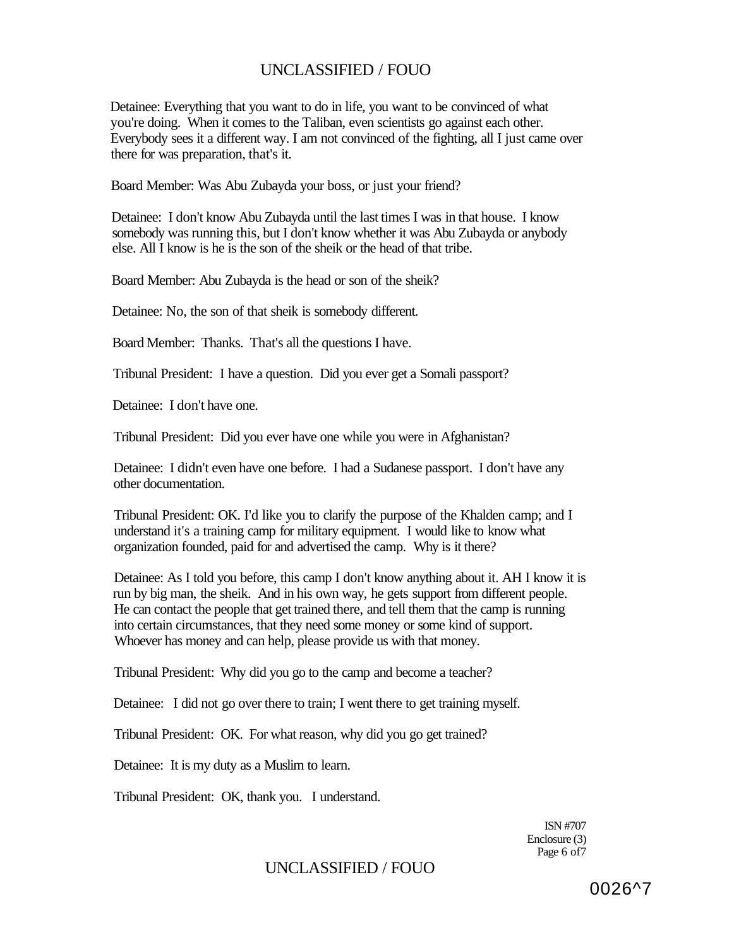Detainee: Everything that you want to do in life, you want to be convinced of what you're doing. When it comes to the Taliban, even scientists go against each other. Everybody sees it a different way. I am not convinced of the fighting, all I just came over there for was preparation, that's it.

Board Member: Was Abu Zubayda your boss, or just your friend?

Detainee: I don't know Abu Zubayda until the last times I was in that house. I know somebody was running this, but I don't know whether it was Abu Zubayda or anybody else. All I know is he is the son of the sheik or the head of that tribe.

Board Member: Abu Zubayda is the head or son of the sheik?

Detainee: No, the son of that sheik is somebody different.

Board Member: Thanks. That's all the questions I have.

Tribunal President: I have a question. Did you ever get a Somali passport?

Detainee: I don't have one.

Tribunal President: Did you ever have one while you were in Afghanistan?

Detainee: I didn't even have one before. I had a Sudanese passport. I don't have any other documentation.

Tribunal President: OK. I'd like you to clarify the purpose of the Khalden camp; and I understand it's a training camp for military equipment. I would like to know what organization founded, paid for and advertised the camp. Why is it there?

Detainee: As I told you before, this camp I don't know anything about it. AH I know it is run by big man, the sheik. And in his own way, he gets support from different people. He can contact the people that get trained there, and tell them that the camp is running into certain circumstances, that they need some money or some kind of support. Whoever has money and can help, please provide us with that money.

Tribunal President: Why did you go to the camp and become a teacher?

Detainee: I did not go over there to train; I went there to get training myself.

Tribunal President: OK. For what reason, why did you go get trained?

Detainee: It is my duty as a Muslim to learn.

Tribunal President: OK, thank you. I understand.

ISN #707 Enclosure (3) Page 6 of7

## UNCLASSIFIED / FOUO

0026^7